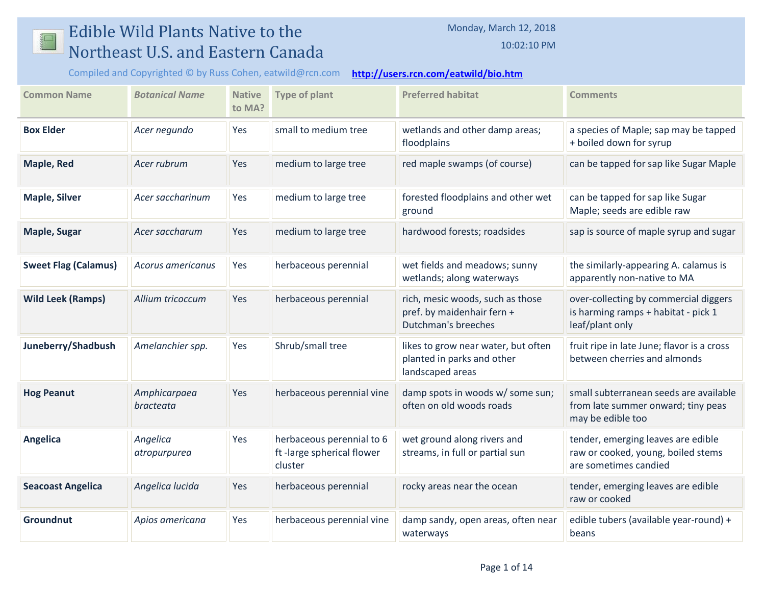## Edible Wild Plants Native to the  $\mathbb{L}$ Northeast U.S. and Eastern Canada

10:02:10 PM

Compiled and Copyrighted © by Russ Cohen, eatwild@rcn.com **<http://users.rcn.com/eatwild/bio.htm>**

| <b>Common Name</b>          | <b>Botanical Name</b>     | <b>Native</b><br>to MA? | <b>Type of plant</b>                                              | <b>Preferred habitat</b>                                                              | <b>Comments</b>                                                                                   |
|-----------------------------|---------------------------|-------------------------|-------------------------------------------------------------------|---------------------------------------------------------------------------------------|---------------------------------------------------------------------------------------------------|
| <b>Box Elder</b>            | Acer negundo              | Yes                     | small to medium tree                                              | wetlands and other damp areas;<br>floodplains                                         | a species of Maple; sap may be tapped<br>+ boiled down for syrup                                  |
| <b>Maple, Red</b>           | Acer rubrum               | Yes                     | medium to large tree                                              | red maple swamps (of course)                                                          | can be tapped for sap like Sugar Maple                                                            |
| <b>Maple, Silver</b>        | Acer saccharinum          | Yes                     | medium to large tree                                              | forested floodplains and other wet<br>ground                                          | can be tapped for sap like Sugar<br>Maple; seeds are edible raw                                   |
| <b>Maple, Sugar</b>         | Acer saccharum            | Yes                     | medium to large tree                                              | hardwood forests; roadsides                                                           | sap is source of maple syrup and sugar                                                            |
| <b>Sweet Flag (Calamus)</b> | Acorus americanus         | Yes                     | herbaceous perennial                                              | wet fields and meadows; sunny<br>wetlands; along waterways                            | the similarly-appearing A. calamus is<br>apparently non-native to MA                              |
| <b>Wild Leek (Ramps)</b>    | Allium tricoccum          | Yes                     | herbaceous perennial                                              | rich, mesic woods, such as those<br>pref. by maidenhair fern +<br>Dutchman's breeches | over-collecting by commercial diggers<br>is harming ramps + habitat - pick 1<br>leaf/plant only   |
| Juneberry/Shadbush          | Amelanchier spp.          | Yes                     | Shrub/small tree                                                  | likes to grow near water, but often<br>planted in parks and other<br>landscaped areas | fruit ripe in late June; flavor is a cross<br>between cherries and almonds                        |
| <b>Hog Peanut</b>           | Amphicarpaea<br>bracteata | Yes                     | herbaceous perennial vine                                         | damp spots in woods w/ some sun;<br>often on old woods roads                          | small subterranean seeds are available<br>from late summer onward; tiny peas<br>may be edible too |
| Angelica                    | Angelica<br>atropurpurea  | Yes                     | herbaceous perennial to 6<br>ft-large spherical flower<br>cluster | wet ground along rivers and<br>streams, in full or partial sun                        | tender, emerging leaves are edible<br>raw or cooked, young, boiled stems<br>are sometimes candied |
| <b>Seacoast Angelica</b>    | Angelica lucida           | Yes                     | herbaceous perennial                                              | rocky areas near the ocean                                                            | tender, emerging leaves are edible<br>raw or cooked                                               |
| <b>Groundnut</b>            | Apios americana           | Yes                     | herbaceous perennial vine                                         | damp sandy, open areas, often near<br>waterways                                       | edible tubers (available year-round) +<br>beans                                                   |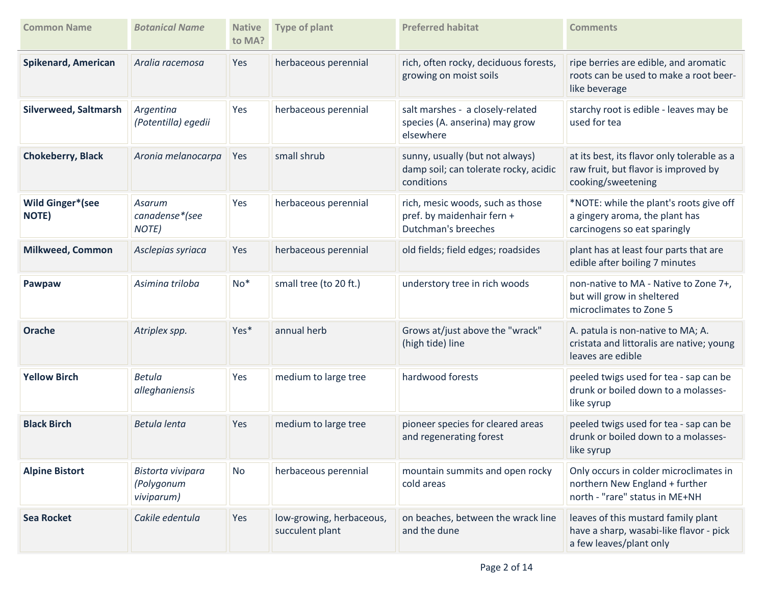| <b>Common Name</b>                       | <b>Botanical Name</b>                         | <b>Native</b><br>to MA? | <b>Type of plant</b>                        | <b>Preferred habitat</b>                                                               | <b>Comments</b>                                                                                            |
|------------------------------------------|-----------------------------------------------|-------------------------|---------------------------------------------|----------------------------------------------------------------------------------------|------------------------------------------------------------------------------------------------------------|
| Spikenard, American                      | Aralia racemosa                               | Yes                     | herbaceous perennial                        | rich, often rocky, deciduous forests,<br>growing on moist soils                        | ripe berries are edible, and aromatic<br>roots can be used to make a root beer-<br>like beverage           |
| Silverweed, Saltmarsh                    | Argentina<br>(Potentilla) egedii              | Yes                     | herbaceous perennial                        | salt marshes - a closely-related<br>species (A. anserina) may grow<br>elsewhere        | starchy root is edible - leaves may be<br>used for tea                                                     |
| <b>Chokeberry, Black</b>                 | Aronia melanocarpa                            | Yes                     | small shrub                                 | sunny, usually (but not always)<br>damp soil; can tolerate rocky, acidic<br>conditions | at its best, its flavor only tolerable as a<br>raw fruit, but flavor is improved by<br>cooking/sweetening  |
| <b>Wild Ginger*</b> (see<br><b>NOTE)</b> | Asarum<br>canadense*(see<br>NOTE)             | Yes                     | herbaceous perennial                        | rich, mesic woods, such as those<br>pref. by maidenhair fern +<br>Dutchman's breeches  | *NOTE: while the plant's roots give off<br>a gingery aroma, the plant has<br>carcinogens so eat sparingly  |
| <b>Milkweed, Common</b>                  | Asclepias syriaca                             | Yes                     | herbaceous perennial                        | old fields; field edges; roadsides                                                     | plant has at least four parts that are<br>edible after boiling 7 minutes                                   |
| Pawpaw                                   | Asimina triloba                               | $No*$                   | small tree (to 20 ft.)                      | understory tree in rich woods                                                          | non-native to MA - Native to Zone 7+,<br>but will grow in sheltered<br>microclimates to Zone 5             |
| Orache                                   | Atriplex spp.                                 | Yes*                    | annual herb                                 | Grows at/just above the "wrack"<br>(high tide) line                                    | A. patula is non-native to MA; A.<br>cristata and littoralis are native; young<br>leaves are edible        |
| <b>Yellow Birch</b>                      | Betula<br>alleghaniensis                      | Yes                     | medium to large tree                        | hardwood forests                                                                       | peeled twigs used for tea - sap can be<br>drunk or boiled down to a molasses-<br>like syrup                |
| <b>Black Birch</b>                       | Betula lenta                                  | Yes                     | medium to large tree                        | pioneer species for cleared areas<br>and regenerating forest                           | peeled twigs used for tea - sap can be<br>drunk or boiled down to a molasses-<br>like syrup                |
| <b>Alpine Bistort</b>                    | Bistorta vivipara<br>(Polygonum<br>viviparum) | <b>No</b>               | herbaceous perennial                        | mountain summits and open rocky<br>cold areas                                          | Only occurs in colder microclimates in<br>northern New England + further<br>north - "rare" status in ME+NH |
| <b>Sea Rocket</b>                        | Cakile edentula                               | Yes                     | low-growing, herbaceous,<br>succulent plant | on beaches, between the wrack line<br>and the dune                                     | leaves of this mustard family plant<br>have a sharp, wasabi-like flavor - pick<br>a few leaves/plant only  |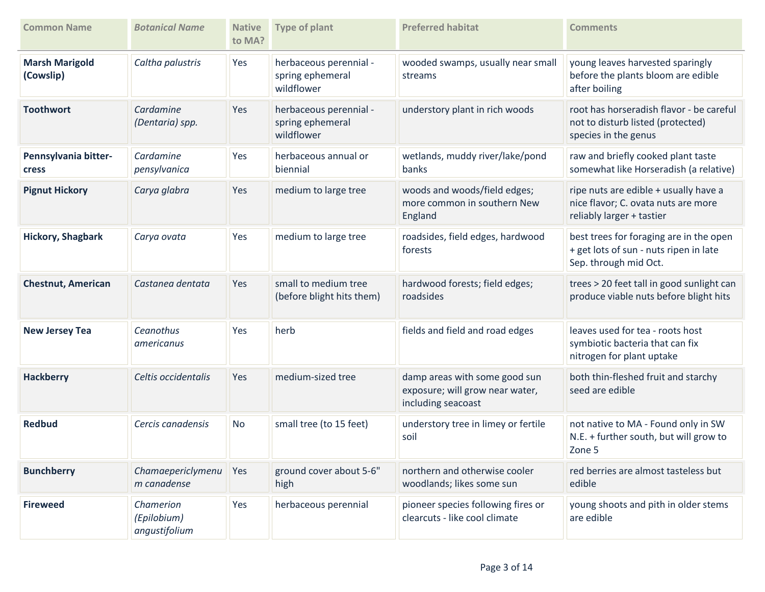| <b>Common Name</b>                 | <b>Botanical Name</b>                     | <b>Native</b><br>to MA? | <b>Type of plant</b>                                     | <b>Preferred habitat</b>                                                               | <b>Comments</b>                                                                                            |
|------------------------------------|-------------------------------------------|-------------------------|----------------------------------------------------------|----------------------------------------------------------------------------------------|------------------------------------------------------------------------------------------------------------|
| <b>Marsh Marigold</b><br>(Cowslip) | Caltha palustris                          | Yes                     | herbaceous perennial -<br>spring ephemeral<br>wildflower | wooded swamps, usually near small<br>streams                                           | young leaves harvested sparingly<br>before the plants bloom are edible<br>after boiling                    |
| <b>Toothwort</b>                   | Cardamine<br>(Dentaria) spp.              | Yes                     | herbaceous perennial -<br>spring ephemeral<br>wildflower | understory plant in rich woods                                                         | root has horseradish flavor - be careful<br>not to disturb listed (protected)<br>species in the genus      |
| Pennsylvania bitter-<br>cress      | Cardamine<br>pensylvanica                 | Yes                     | herbaceous annual or<br>biennial                         | wetlands, muddy river/lake/pond<br>banks                                               | raw and briefly cooked plant taste<br>somewhat like Horseradish (a relative)                               |
| <b>Pignut Hickory</b>              | Carya glabra                              | Yes                     | medium to large tree                                     | woods and woods/field edges;<br>more common in southern New<br>England                 | ripe nuts are edible + usually have a<br>nice flavor; C. ovata nuts are more<br>reliably larger + tastier  |
| <b>Hickory, Shagbark</b>           | Carya ovata                               | Yes                     | medium to large tree                                     | roadsides, field edges, hardwood<br>forests                                            | best trees for foraging are in the open<br>+ get lots of sun - nuts ripen in late<br>Sep. through mid Oct. |
| <b>Chestnut, American</b>          | Castanea dentata                          | Yes                     | small to medium tree<br>(before blight hits them)        | hardwood forests; field edges;<br>roadsides                                            | trees > 20 feet tall in good sunlight can<br>produce viable nuts before blight hits                        |
| <b>New Jersey Tea</b>              | Ceanothus<br>americanus                   | Yes                     | herb                                                     | fields and field and road edges                                                        | leaves used for tea - roots host<br>symbiotic bacteria that can fix<br>nitrogen for plant uptake           |
| <b>Hackberry</b>                   | Celtis occidentalis                       | Yes                     | medium-sized tree                                        | damp areas with some good sun<br>exposure; will grow near water,<br>including seacoast | both thin-fleshed fruit and starchy<br>seed are edible                                                     |
| <b>Redbud</b>                      | Cercis canadensis                         | <b>No</b>               | small tree (to 15 feet)                                  | understory tree in limey or fertile<br>soil                                            | not native to MA - Found only in SW<br>N.E. + further south, but will grow to<br>Zone 5                    |
| <b>Bunchberry</b>                  | Chamaepericlymenu<br>m canadense          | Yes                     | ground cover about 5-6"<br>high                          | northern and otherwise cooler<br>woodlands; likes some sun                             | red berries are almost tasteless but<br>edible                                                             |
| <b>Fireweed</b>                    | Chamerion<br>(Epilobium)<br>angustifolium | Yes                     | herbaceous perennial                                     | pioneer species following fires or<br>clearcuts - like cool climate                    | young shoots and pith in older stems<br>are edible                                                         |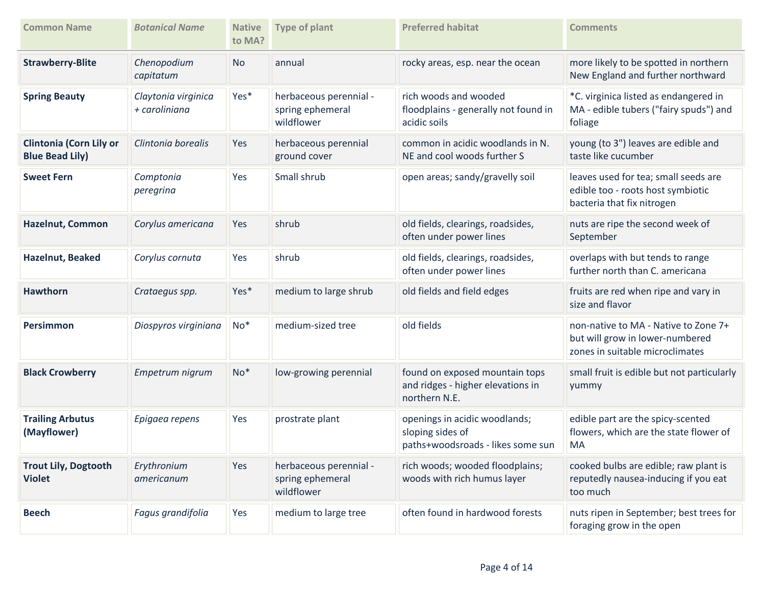| <b>Common Name</b>                                       | <b>Botanical Name</b>                | <b>Native</b><br>to MA? | <b>Type of plant</b>                                     | <b>Preferred habitat</b>                                                               | <b>Comments</b>                                                                                            |
|----------------------------------------------------------|--------------------------------------|-------------------------|----------------------------------------------------------|----------------------------------------------------------------------------------------|------------------------------------------------------------------------------------------------------------|
| <b>Strawberry-Blite</b>                                  | Chenopodium<br>capitatum             | <b>No</b>               | annual                                                   | rocky areas, esp. near the ocean                                                       | more likely to be spotted in northern<br>New England and further northward                                 |
| <b>Spring Beauty</b>                                     | Claytonia virginica<br>+ caroliniana | Yes*                    | herbaceous perennial -<br>spring ephemeral<br>wildflower | rich woods and wooded<br>floodplains - generally not found in<br>acidic soils          | *C. virginica listed as endangered in<br>MA - edible tubers ("fairy spuds") and<br>foliage                 |
| <b>Clintonia (Corn Lily or</b><br><b>Blue Bead Lily)</b> | Clintonia borealis                   | Yes                     | herbaceous perennial<br>ground cover                     | common in acidic woodlands in N.<br>NE and cool woods further S                        | young (to 3") leaves are edible and<br>taste like cucumber                                                 |
| <b>Sweet Fern</b>                                        | Comptonia<br>peregrina               | Yes                     | Small shrub                                              | open areas; sandy/gravelly soil                                                        | leaves used for tea; small seeds are<br>edible too - roots host symbiotic<br>bacteria that fix nitrogen    |
| <b>Hazelnut, Common</b>                                  | Corylus americana                    | Yes                     | shrub                                                    | old fields, clearings, roadsides,<br>often under power lines                           | nuts are ripe the second week of<br>September                                                              |
| Hazelnut, Beaked                                         | Corylus cornuta                      | Yes                     | shrub                                                    | old fields, clearings, roadsides,<br>often under power lines                           | overlaps with but tends to range<br>further north than C. americana                                        |
| <b>Hawthorn</b>                                          | Crataegus spp.                       | Yes*                    | medium to large shrub                                    | old fields and field edges                                                             | fruits are red when ripe and vary in<br>size and flavor                                                    |
| Persimmon                                                | Diospyros virginiana                 | $No*$                   | medium-sized tree                                        | old fields                                                                             | non-native to MA - Native to Zone 7+<br>but will grow in lower-numbered<br>zones in suitable microclimates |
| <b>Black Crowberry</b>                                   | Empetrum nigrum                      | $No*$                   | low-growing perennial                                    | found on exposed mountain tops<br>and ridges - higher elevations in<br>northern N.E.   | small fruit is edible but not particularly<br>yummy                                                        |
| <b>Trailing Arbutus</b><br>(Mayflower)                   | Epigaea repens                       | Yes                     | prostrate plant                                          | openings in acidic woodlands;<br>sloping sides of<br>paths+woodsroads - likes some sun | edible part are the spicy-scented<br>flowers, which are the state flower of<br>MA                          |
| <b>Trout Lily, Dogtooth</b><br><b>Violet</b>             | Erythronium<br>americanum            | Yes                     | herbaceous perennial -<br>spring ephemeral<br>wildflower | rich woods; wooded floodplains;<br>woods with rich humus layer                         | cooked bulbs are edible; raw plant is<br>reputedly nausea-inducing if you eat<br>too much                  |
| <b>Beech</b>                                             | Fagus grandifolia                    | Yes                     | medium to large tree                                     | often found in hardwood forests                                                        | nuts ripen in September; best trees for<br>foraging grow in the open                                       |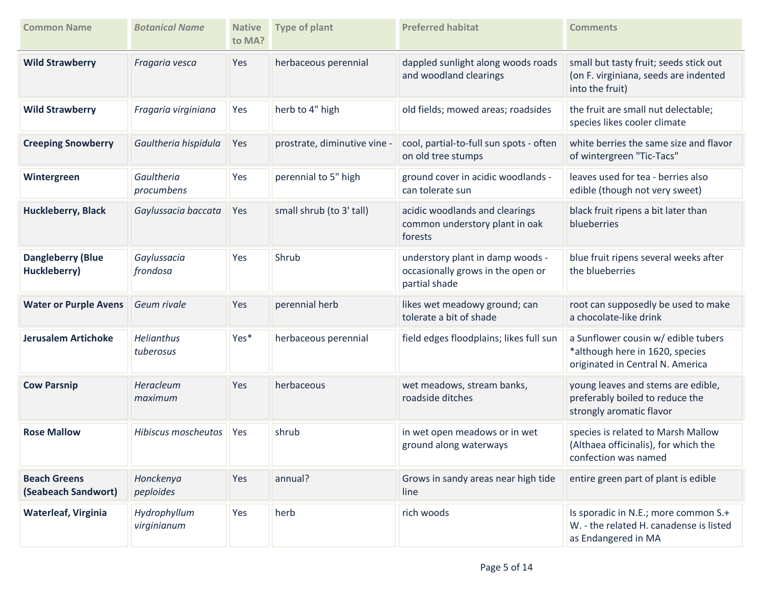| <b>Common Name</b>                         | <b>Botanical Name</b>          | <b>Native</b><br>to MA? | <b>Type of plant</b>         | <b>Preferred habitat</b>                                                               | <b>Comments</b>                                                                                            |
|--------------------------------------------|--------------------------------|-------------------------|------------------------------|----------------------------------------------------------------------------------------|------------------------------------------------------------------------------------------------------------|
| <b>Wild Strawberry</b>                     | Fragaria vesca                 | Yes                     | herbaceous perennial         | dappled sunlight along woods roads<br>and woodland clearings                           | small but tasty fruit; seeds stick out<br>(on F. virginiana, seeds are indented<br>into the fruit)         |
| <b>Wild Strawberry</b>                     | Fragaria virginiana            | Yes                     | herb to 4" high              | old fields; mowed areas; roadsides                                                     | the fruit are small nut delectable;<br>species likes cooler climate                                        |
| <b>Creeping Snowberry</b>                  | Gaultheria hispidula           | Yes                     | prostrate, diminutive vine - | cool, partial-to-full sun spots - often<br>on old tree stumps                          | white berries the same size and flavor<br>of wintergreen "Tic-Tacs"                                        |
| Wintergreen                                | Gaultheria<br>procumbens       | Yes                     | perennial to 5" high         | ground cover in acidic woodlands -<br>can tolerate sun                                 | leaves used for tea - berries also<br>edible (though not very sweet)                                       |
| <b>Huckleberry, Black</b>                  | Gaylussacia baccata            | Yes                     | small shrub (to 3' tall)     | acidic woodlands and clearings<br>common understory plant in oak<br>forests            | black fruit ripens a bit later than<br>blueberries                                                         |
| <b>Dangleberry (Blue</b><br>Huckleberry)   | Gaylussacia<br>frondosa        | Yes                     | Shrub                        | understory plant in damp woods -<br>occasionally grows in the open or<br>partial shade | blue fruit ripens several weeks after<br>the blueberries                                                   |
| <b>Water or Purple Avens</b>               | Geum rivale                    | Yes                     | perennial herb               | likes wet meadowy ground; can<br>tolerate a bit of shade                               | root can supposedly be used to make<br>a chocolate-like drink                                              |
| <b>Jerusalem Artichoke</b>                 | <b>Helianthus</b><br>tuberosus | Yes*                    | herbaceous perennial         | field edges floodplains; likes full sun                                                | a Sunflower cousin w/ edible tubers<br>*although here in 1620, species<br>originated in Central N. America |
| <b>Cow Parsnip</b>                         | Heracleum<br>maximum           | Yes                     | herbaceous                   | wet meadows, stream banks,<br>roadside ditches                                         | young leaves and stems are edible,<br>preferably boiled to reduce the<br>strongly aromatic flavor          |
| <b>Rose Mallow</b>                         | Hibiscus moscheutos            | <b>Yes</b>              | shrub                        | in wet open meadows or in wet<br>ground along waterways                                | species is related to Marsh Mallow<br>(Althaea officinalis), for which the<br>confection was named         |
| <b>Beach Greens</b><br>(Seabeach Sandwort) | Honckenya<br>peploides         | Yes                     | annual?                      | Grows in sandy areas near high tide<br>line                                            | entire green part of plant is edible                                                                       |
| Waterleaf, Virginia                        | Hydrophyllum<br>virginianum    | Yes                     | herb                         | rich woods                                                                             | Is sporadic in N.E.; more common S.+<br>W. - the related H. canadense is listed<br>as Endangered in MA     |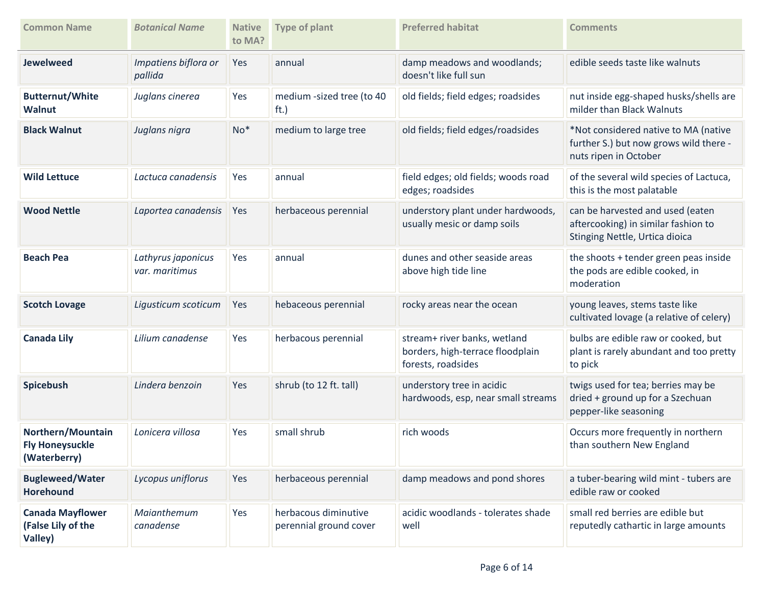| <b>Common Name</b>                                          | <b>Botanical Name</b>                | <b>Native</b><br>to MA? | <b>Type of plant</b>                           | <b>Preferred habitat</b>                                                               | <b>Comments</b>                                                                                           |
|-------------------------------------------------------------|--------------------------------------|-------------------------|------------------------------------------------|----------------------------------------------------------------------------------------|-----------------------------------------------------------------------------------------------------------|
| <b>Jewelweed</b>                                            | Impatiens biflora or<br>pallida      | Yes                     | annual                                         | damp meadows and woodlands;<br>doesn't like full sun                                   | edible seeds taste like walnuts                                                                           |
| <b>Butternut/White</b><br><b>Walnut</b>                     | Juglans cinerea                      | Yes                     | medium -sized tree (to 40<br>ft.)              | old fields; field edges; roadsides                                                     | nut inside egg-shaped husks/shells are<br>milder than Black Walnuts                                       |
| <b>Black Walnut</b>                                         | Juglans nigra                        | $No*$                   | medium to large tree                           | old fields; field edges/roadsides                                                      | *Not considered native to MA (native<br>further S.) but now grows wild there -<br>nuts ripen in October   |
| <b>Wild Lettuce</b>                                         | Lactuca canadensis                   | Yes                     | annual                                         | field edges; old fields; woods road<br>edges; roadsides                                | of the several wild species of Lactuca,<br>this is the most palatable                                     |
| <b>Wood Nettle</b>                                          | Laportea canadensis                  | Yes                     | herbaceous perennial                           | understory plant under hardwoods,<br>usually mesic or damp soils                       | can be harvested and used (eaten<br>aftercooking) in similar fashion to<br>Stinging Nettle, Urtica dioica |
| <b>Beach Pea</b>                                            | Lathyrus japonicus<br>var. maritimus | Yes                     | annual                                         | dunes and other seaside areas<br>above high tide line                                  | the shoots + tender green peas inside<br>the pods are edible cooked, in<br>moderation                     |
| <b>Scotch Lovage</b>                                        | Ligusticum scoticum                  | Yes                     | hebaceous perennial                            | rocky areas near the ocean                                                             | young leaves, stems taste like<br>cultivated lovage (a relative of celery)                                |
| <b>Canada Lily</b>                                          | Lilium canadense                     | Yes                     | herbacous perennial                            | stream+ river banks, wetland<br>borders, high-terrace floodplain<br>forests, roadsides | bulbs are edible raw or cooked, but<br>plant is rarely abundant and too pretty<br>to pick                 |
| Spicebush                                                   | Lindera benzoin                      | Yes                     | shrub (to 12 ft. tall)                         | understory tree in acidic<br>hardwoods, esp, near small streams                        | twigs used for tea; berries may be<br>dried + ground up for a Szechuan<br>pepper-like seasoning           |
| Northern/Mountain<br><b>Fly Honeysuckle</b><br>(Waterberry) | Lonicera villosa                     | Yes                     | small shrub                                    | rich woods                                                                             | Occurs more frequently in northern<br>than southern New England                                           |
| <b>Bugleweed/Water</b><br><b>Horehound</b>                  | Lycopus uniflorus                    | Yes                     | herbaceous perennial                           | damp meadows and pond shores                                                           | a tuber-bearing wild mint - tubers are<br>edible raw or cooked                                            |
| <b>Canada Mayflower</b><br>(False Lily of the<br>Valley)    | Maianthemum<br>canadense             | Yes                     | herbacous diminutive<br>perennial ground cover | acidic woodlands - tolerates shade<br>well                                             | small red berries are edible but<br>reputedly cathartic in large amounts                                  |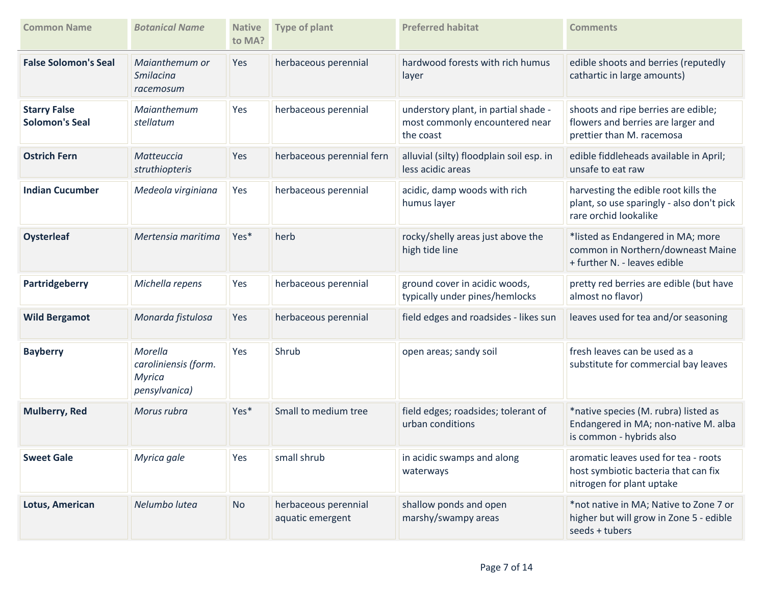| <b>Common Name</b>                           | <b>Botanical Name</b>                                             | <b>Native</b><br>to MA? | <b>Type of plant</b>                     | <b>Preferred habitat</b>                                                            | <b>Comments</b>                                                                                            |
|----------------------------------------------|-------------------------------------------------------------------|-------------------------|------------------------------------------|-------------------------------------------------------------------------------------|------------------------------------------------------------------------------------------------------------|
| <b>False Solomon's Seal</b>                  | Maianthemum or<br><b>Smilacina</b><br>racemosum                   | Yes                     | herbaceous perennial                     | hardwood forests with rich humus<br>layer                                           | edible shoots and berries (reputedly<br>cathartic in large amounts)                                        |
| <b>Starry False</b><br><b>Solomon's Seal</b> | Maianthemum<br>stellatum                                          | Yes                     | herbaceous perennial                     | understory plant, in partial shade -<br>most commonly encountered near<br>the coast | shoots and ripe berries are edible;<br>flowers and berries are larger and<br>prettier than M. racemosa     |
| <b>Ostrich Fern</b>                          | Matteuccia<br>struthiopteris                                      | Yes                     | herbaceous perennial fern                | alluvial (silty) floodplain soil esp. in<br>less acidic areas                       | edible fiddleheads available in April;<br>unsafe to eat raw                                                |
| <b>Indian Cucumber</b>                       | Medeola virginiana                                                | Yes                     | herbaceous perennial                     | acidic, damp woods with rich<br>humus layer                                         | harvesting the edible root kills the<br>plant, so use sparingly - also don't pick<br>rare orchid lookalike |
| <b>Oysterleaf</b>                            | Mertensia maritima                                                | Yes*                    | herb                                     | rocky/shelly areas just above the<br>high tide line                                 | *listed as Endangered in MA; more<br>common in Northern/downeast Maine<br>+ further N. - leaves edible     |
| Partridgeberry                               | Michella repens                                                   | Yes                     | herbaceous perennial                     | ground cover in acidic woods,<br>typically under pines/hemlocks                     | pretty red berries are edible (but have<br>almost no flavor)                                               |
| <b>Wild Bergamot</b>                         | Monarda fistulosa                                                 | Yes                     | herbaceous perennial                     | field edges and roadsides - likes sun                                               | leaves used for tea and/or seasoning                                                                       |
| <b>Bayberry</b>                              | Morella<br>caroliniensis (form.<br><b>Myrica</b><br>pensylvanica) | Yes                     | Shrub                                    | open areas; sandy soil                                                              | fresh leaves can be used as a<br>substitute for commercial bay leaves                                      |
| <b>Mulberry, Red</b>                         | Morus rubra                                                       | Yes*                    | Small to medium tree                     | field edges; roadsides; tolerant of<br>urban conditions                             | *native species (M. rubra) listed as<br>Endangered in MA; non-native M. alba<br>is common - hybrids also   |
| <b>Sweet Gale</b>                            | Myrica gale                                                       | Yes                     | small shrub                              | in acidic swamps and along<br>waterways                                             | aromatic leaves used for tea - roots<br>host symbiotic bacteria that can fix<br>nitrogen for plant uptake  |
| Lotus, American                              | Nelumbo lutea                                                     | No                      | herbaceous perennial<br>aquatic emergent | shallow ponds and open<br>marshy/swampy areas                                       | *not native in MA; Native to Zone 7 or<br>higher but will grow in Zone 5 - edible<br>seeds + tubers        |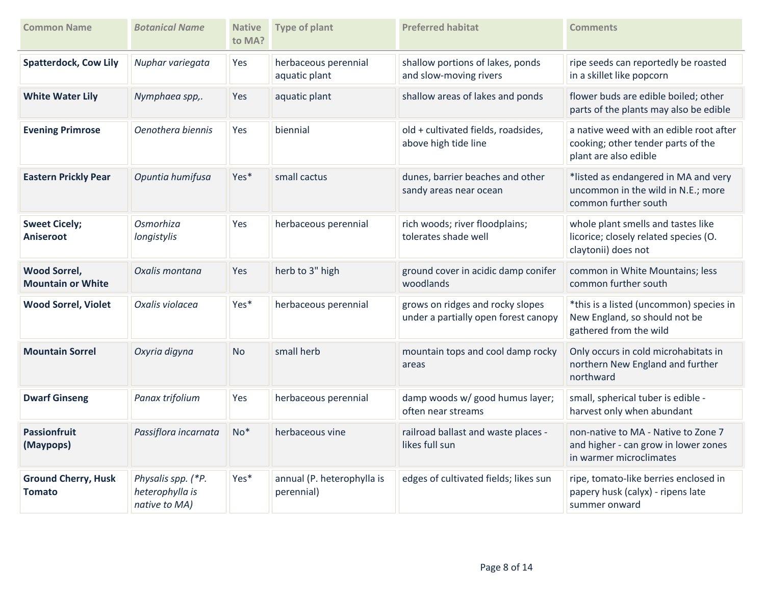| <b>Common Name</b>                              | <b>Botanical Name</b>                                  | <b>Native</b><br>to MA? | <b>Type of plant</b>                     | <b>Preferred habitat</b>                                                 | <b>Comments</b>                                                                                        |
|-------------------------------------------------|--------------------------------------------------------|-------------------------|------------------------------------------|--------------------------------------------------------------------------|--------------------------------------------------------------------------------------------------------|
| <b>Spatterdock, Cow Lily</b>                    | Nuphar variegata                                       | Yes                     | herbaceous perennial<br>aquatic plant    | shallow portions of lakes, ponds<br>and slow-moving rivers               | ripe seeds can reportedly be roasted<br>in a skillet like popcorn                                      |
| <b>White Water Lily</b>                         | Nymphaea spp,.                                         | Yes                     | aquatic plant                            | shallow areas of lakes and ponds                                         | flower buds are edible boiled; other<br>parts of the plants may also be edible                         |
| <b>Evening Primrose</b>                         | Oenothera biennis                                      | Yes                     | biennial                                 | old + cultivated fields, roadsides,<br>above high tide line              | a native weed with an edible root after<br>cooking; other tender parts of the<br>plant are also edible |
| <b>Eastern Prickly Pear</b>                     | Opuntia humifusa                                       | Yes*                    | small cactus                             | dunes, barrier beaches and other<br>sandy areas near ocean               | *listed as endangered in MA and very<br>uncommon in the wild in N.E.; more<br>common further south     |
| <b>Sweet Cicely;</b><br>Aniseroot               | Osmorhiza<br>longistylis                               | Yes                     | herbaceous perennial                     | rich woods; river floodplains;<br>tolerates shade well                   | whole plant smells and tastes like<br>licorice; closely related species (O.<br>claytonii) does not     |
| <b>Wood Sorrel,</b><br><b>Mountain or White</b> | Oxalis montana                                         | Yes                     | herb to 3" high                          | ground cover in acidic damp conifer<br>woodlands                         | common in White Mountains; less<br>common further south                                                |
| <b>Wood Sorrel, Violet</b>                      | Oxalis violacea                                        | Yes*                    | herbaceous perennial                     | grows on ridges and rocky slopes<br>under a partially open forest canopy | *this is a listed (uncommon) species in<br>New England, so should not be<br>gathered from the wild     |
| <b>Mountain Sorrel</b>                          | Oxyria digyna                                          | <b>No</b>               | small herb                               | mountain tops and cool damp rocky<br>areas                               | Only occurs in cold microhabitats in<br>northern New England and further<br>northward                  |
| <b>Dwarf Ginseng</b>                            | Panax trifolium                                        | Yes                     | herbaceous perennial                     | damp woods w/ good humus layer;<br>often near streams                    | small, spherical tuber is edible -<br>harvest only when abundant                                       |
| <b>Passionfruit</b><br>(Maypops)                | Passiflora incarnata                                   | $No*$                   | herbaceous vine                          | railroad ballast and waste places -<br>likes full sun                    | non-native to MA - Native to Zone 7<br>and higher - can grow in lower zones<br>in warmer microclimates |
| <b>Ground Cherry, Husk</b><br><b>Tomato</b>     | Physalis spp. (*P.<br>heterophylla is<br>native to MA) | Yes*                    | annual (P. heterophylla is<br>perennial) | edges of cultivated fields; likes sun                                    | ripe, tomato-like berries enclosed in<br>papery husk (calyx) - ripens late<br>summer onward            |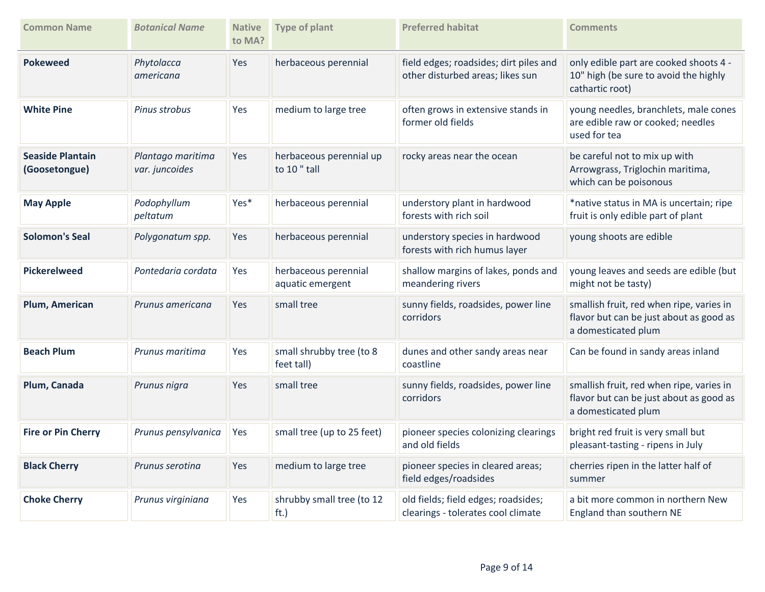| <b>Common Name</b>                       | <b>Botanical Name</b>               | <b>Native</b><br>to MA? | <b>Type of plant</b>                     | <b>Preferred habitat</b>                                                   | <b>Comments</b>                                                                                            |
|------------------------------------------|-------------------------------------|-------------------------|------------------------------------------|----------------------------------------------------------------------------|------------------------------------------------------------------------------------------------------------|
| <b>Pokeweed</b>                          | Phytolacca<br>americana             | Yes                     | herbaceous perennial                     | field edges; roadsides; dirt piles and<br>other disturbed areas; likes sun | only edible part are cooked shoots 4 -<br>10" high (be sure to avoid the highly<br>cathartic root)         |
| <b>White Pine</b>                        | Pinus strobus                       | Yes                     | medium to large tree                     | often grows in extensive stands in<br>former old fields                    | young needles, branchlets, male cones<br>are edible raw or cooked; needles<br>used for tea                 |
| <b>Seaside Plantain</b><br>(Goosetongue) | Plantago maritima<br>var. juncoides | Yes                     | herbaceous perennial up<br>to 10" tall   | rocky areas near the ocean                                                 | be careful not to mix up with<br>Arrowgrass, Triglochin maritima,<br>which can be poisonous                |
| <b>May Apple</b>                         | Podophyllum<br>peltatum             | Yes*                    | herbaceous perennial                     | understory plant in hardwood<br>forests with rich soil                     | *native status in MA is uncertain; ripe<br>fruit is only edible part of plant                              |
| <b>Solomon's Seal</b>                    | Polygonatum spp.                    | Yes                     | herbaceous perennial                     | understory species in hardwood<br>forests with rich humus layer            | young shoots are edible                                                                                    |
| <b>Pickerelweed</b>                      | Pontedaria cordata                  | Yes                     | herbaceous perennial<br>aquatic emergent | shallow margins of lakes, ponds and<br>meandering rivers                   | young leaves and seeds are edible (but<br>might not be tasty)                                              |
| Plum, American                           | Prunus americana                    | Yes                     | small tree                               | sunny fields, roadsides, power line<br>corridors                           | smallish fruit, red when ripe, varies in<br>flavor but can be just about as good as<br>a domesticated plum |
| <b>Beach Plum</b>                        | Prunus maritima                     | Yes                     | small shrubby tree (to 8<br>feet tall)   | dunes and other sandy areas near<br>coastline                              | Can be found in sandy areas inland                                                                         |
| Plum, Canada                             | Prunus nigra                        | Yes                     | small tree                               | sunny fields, roadsides, power line<br>corridors                           | smallish fruit, red when ripe, varies in<br>flavor but can be just about as good as<br>a domesticated plum |
| <b>Fire or Pin Cherry</b>                | Prunus pensylvanica                 | Yes                     | small tree (up to 25 feet)               | pioneer species colonizing clearings<br>and old fields                     | bright red fruit is very small but<br>pleasant-tasting - ripens in July                                    |
| <b>Black Cherry</b>                      | Prunus serotina                     | Yes                     | medium to large tree                     | pioneer species in cleared areas;<br>field edges/roadsides                 | cherries ripen in the latter half of<br>summer                                                             |
| <b>Choke Cherry</b>                      | Prunus virginiana                   | Yes                     | shrubby small tree (to 12<br>ft.)        | old fields; field edges; roadsides;<br>clearings - tolerates cool climate  | a bit more common in northern New<br>England than southern NE                                              |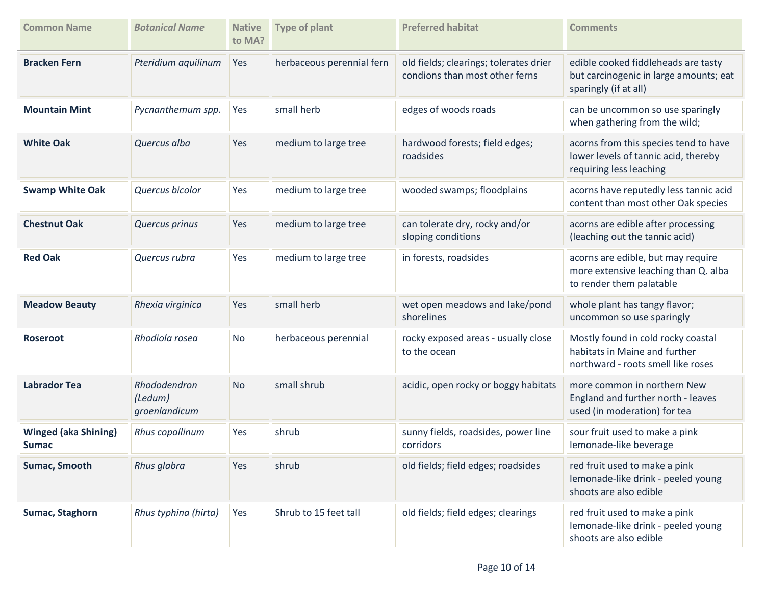| <b>Common Name</b>                          | <b>Botanical Name</b>                    | <b>Native</b><br>to MA? | <b>Type of plant</b>      | <b>Preferred habitat</b>                                                 | <b>Comments</b>                                                                                           |
|---------------------------------------------|------------------------------------------|-------------------------|---------------------------|--------------------------------------------------------------------------|-----------------------------------------------------------------------------------------------------------|
| <b>Bracken Fern</b>                         | Pteridium aquilinum                      | Yes                     | herbaceous perennial fern | old fields; clearings; tolerates drier<br>condions than most other ferns | edible cooked fiddleheads are tasty<br>but carcinogenic in large amounts; eat<br>sparingly (if at all)    |
| <b>Mountain Mint</b>                        | Pycnanthemum spp.                        | Yes                     | small herb                | edges of woods roads                                                     | can be uncommon so use sparingly<br>when gathering from the wild;                                         |
| <b>White Oak</b>                            | Quercus alba                             | Yes                     | medium to large tree      | hardwood forests; field edges;<br>roadsides                              | acorns from this species tend to have<br>lower levels of tannic acid, thereby<br>requiring less leaching  |
| <b>Swamp White Oak</b>                      | Quercus bicolor                          | Yes                     | medium to large tree      | wooded swamps; floodplains                                               | acorns have reputedly less tannic acid<br>content than most other Oak species                             |
| <b>Chestnut Oak</b>                         | Quercus prinus                           | Yes                     | medium to large tree      | can tolerate dry, rocky and/or<br>sloping conditions                     | acorns are edible after processing<br>(leaching out the tannic acid)                                      |
| <b>Red Oak</b>                              | Quercus rubra                            | Yes                     | medium to large tree      | in forests, roadsides                                                    | acorns are edible, but may require<br>more extensive leaching than Q. alba<br>to render them palatable    |
| <b>Meadow Beauty</b>                        | Rhexia virginica                         | Yes                     | small herb                | wet open meadows and lake/pond<br>shorelines                             | whole plant has tangy flavor;<br>uncommon so use sparingly                                                |
| <b>Roseroot</b>                             | Rhodiola rosea                           | <b>No</b>               | herbaceous perennial      | rocky exposed areas - usually close<br>to the ocean                      | Mostly found in cold rocky coastal<br>habitats in Maine and further<br>northward - roots smell like roses |
| <b>Labrador Tea</b>                         | Rhododendron<br>(Ledum)<br>groenlandicum | <b>No</b>               | small shrub               | acidic, open rocky or boggy habitats                                     | more common in northern New<br>England and further north - leaves<br>used (in moderation) for tea         |
| <b>Winged (aka Shining)</b><br><b>Sumac</b> | Rhus copallinum                          | Yes                     | shrub                     | sunny fields, roadsides, power line<br>corridors                         | sour fruit used to make a pink<br>lemonade-like beverage                                                  |
| Sumac, Smooth                               | Rhus glabra                              | Yes                     | shrub                     | old fields; field edges; roadsides                                       | red fruit used to make a pink<br>lemonade-like drink - peeled young<br>shoots are also edible             |
| Sumac, Staghorn                             | Rhus typhina (hirta)                     | Yes                     | Shrub to 15 feet tall     | old fields; field edges; clearings                                       | red fruit used to make a pink<br>lemonade-like drink - peeled young<br>shoots are also edible             |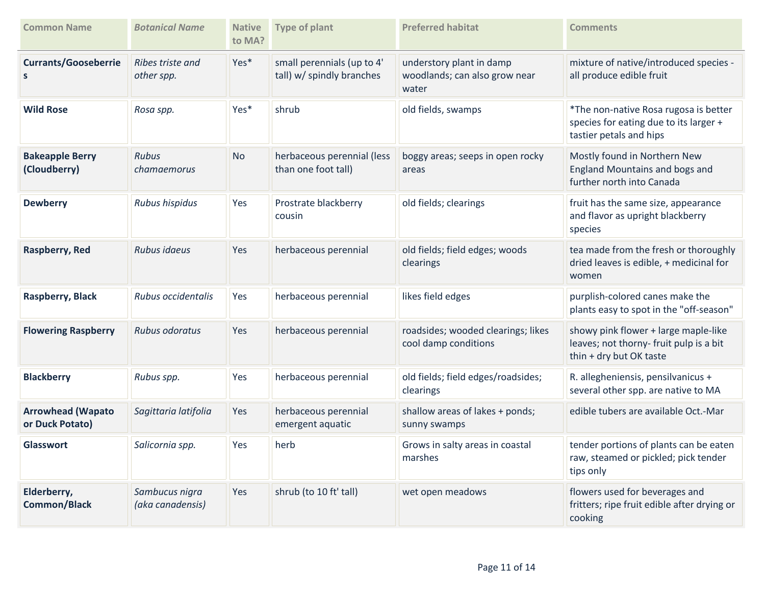| <b>Common Name</b>                          | <b>Botanical Name</b>              | <b>Native</b><br>to MA? | <b>Type of plant</b>                                    | <b>Preferred habitat</b>                                           | <b>Comments</b>                                                                                            |
|---------------------------------------------|------------------------------------|-------------------------|---------------------------------------------------------|--------------------------------------------------------------------|------------------------------------------------------------------------------------------------------------|
| <b>Currants/Gooseberrie</b><br>S            | Ribes triste and<br>other spp.     | Yes*                    | small perennials (up to 4'<br>tall) w/ spindly branches | understory plant in damp<br>woodlands; can also grow near<br>water | mixture of native/introduced species -<br>all produce edible fruit                                         |
| <b>Wild Rose</b>                            | Rosa spp.                          | Yes*                    | shrub                                                   | old fields, swamps                                                 | *The non-native Rosa rugosa is better<br>species for eating due to its larger +<br>tastier petals and hips |
| <b>Bakeapple Berry</b><br>(Cloudberry)      | <b>Rubus</b><br>chamaemorus        | <b>No</b>               | herbaceous perennial (less<br>than one foot tall)       | boggy areas; seeps in open rocky<br>areas                          | Mostly found in Northern New<br>England Mountains and bogs and<br>further north into Canada                |
| <b>Dewberry</b>                             | Rubus hispidus                     | Yes                     | Prostrate blackberry<br>cousin                          | old fields; clearings                                              | fruit has the same size, appearance<br>and flavor as upright blackberry<br>species                         |
| Raspberry, Red                              | Rubus idaeus                       | <b>Yes</b>              | herbaceous perennial                                    | old fields; field edges; woods<br>clearings                        | tea made from the fresh or thoroughly<br>dried leaves is edible, + medicinal for<br>women                  |
| <b>Raspberry, Black</b>                     | Rubus occidentalis                 | Yes                     | herbaceous perennial                                    | likes field edges                                                  | purplish-colored canes make the<br>plants easy to spot in the "off-season"                                 |
| <b>Flowering Raspberry</b>                  | Rubus odoratus                     | Yes                     | herbaceous perennial                                    | roadsides; wooded clearings; likes<br>cool damp conditions         | showy pink flower + large maple-like<br>leaves; not thorny- fruit pulp is a bit<br>thin + dry but OK taste |
| <b>Blackberry</b>                           | Rubus spp.                         | Yes                     | herbaceous perennial                                    | old fields; field edges/roadsides;<br>clearings                    | R. allegheniensis, pensilvanicus +<br>several other spp. are native to MA                                  |
| <b>Arrowhead (Wapato</b><br>or Duck Potato) | Sagittaria latifolia               | Yes                     | herbaceous perennial<br>emergent aquatic                | shallow areas of lakes + ponds;<br>sunny swamps                    | edible tubers are available Oct.-Mar                                                                       |
| <b>Glasswort</b>                            | Salicornia spp.                    | Yes                     | herb                                                    | Grows in salty areas in coastal<br>marshes                         | tender portions of plants can be eaten<br>raw, steamed or pickled; pick tender<br>tips only                |
| Elderberry,<br><b>Common/Black</b>          | Sambucus nigra<br>(aka canadensis) | <b>Yes</b>              | shrub (to 10 ft' tall)                                  | wet open meadows                                                   | flowers used for beverages and<br>fritters; ripe fruit edible after drying or<br>cooking                   |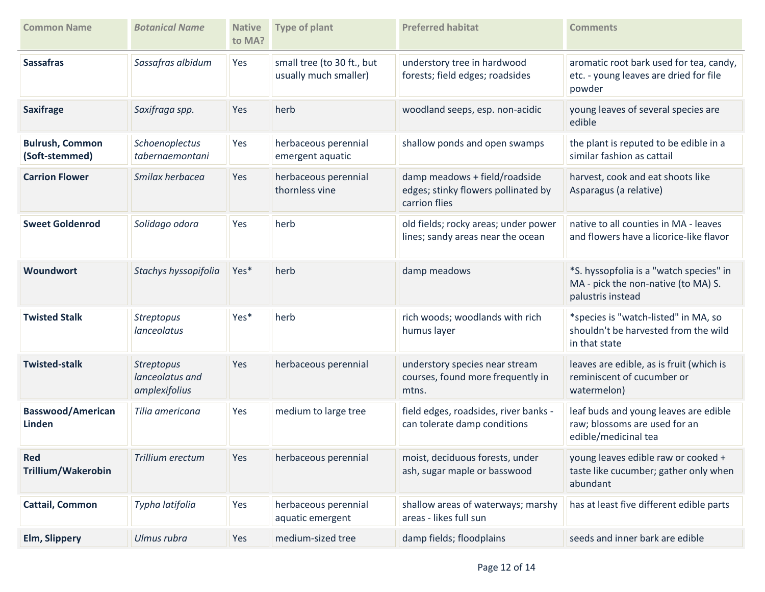| <b>Common Name</b>                       | <b>Botanical Name</b>                                 | <b>Native</b><br>to MA? | <b>Type of plant</b>                                | <b>Preferred habitat</b>                                                              | <b>Comments</b>                                                                                     |
|------------------------------------------|-------------------------------------------------------|-------------------------|-----------------------------------------------------|---------------------------------------------------------------------------------------|-----------------------------------------------------------------------------------------------------|
| <b>Sassafras</b>                         | Sassafras albidum                                     | Yes                     | small tree (to 30 ft., but<br>usually much smaller) | understory tree in hardwood<br>forests; field edges; roadsides                        | aromatic root bark used for tea, candy,<br>etc. - young leaves are dried for file<br>powder         |
| <b>Saxifrage</b>                         | Saxifraga spp.                                        | Yes                     | herb                                                | woodland seeps, esp. non-acidic                                                       | young leaves of several species are<br>edible                                                       |
| <b>Bulrush, Common</b><br>(Soft-stemmed) | Schoenoplectus<br>tabernaemontani                     | Yes                     | herbaceous perennial<br>emergent aquatic            | shallow ponds and open swamps                                                         | the plant is reputed to be edible in a<br>similar fashion as cattail                                |
| <b>Carrion Flower</b>                    | Smilax herbacea                                       | Yes                     | herbaceous perennial<br>thornless vine              | damp meadows + field/roadside<br>edges; stinky flowers pollinated by<br>carrion flies | harvest, cook and eat shoots like<br>Asparagus (a relative)                                         |
| <b>Sweet Goldenrod</b>                   | Solidago odora                                        | Yes                     | herb                                                | old fields; rocky areas; under power<br>lines; sandy areas near the ocean             | native to all counties in MA - leaves<br>and flowers have a licorice-like flavor                    |
| <b>Woundwort</b>                         | Stachys hyssopifolia                                  | Yes*                    | herb                                                | damp meadows                                                                          | *S. hyssopfolia is a "watch species" in<br>MA - pick the non-native (to MA) S.<br>palustris instead |
| <b>Twisted Stalk</b>                     | <b>Streptopus</b><br>lanceolatus                      | Yes*                    | herb                                                | rich woods; woodlands with rich<br>humus layer                                        | *species is "watch-listed" in MA, so<br>shouldn't be harvested from the wild<br>in that state       |
| <b>Twisted-stalk</b>                     | <b>Streptopus</b><br>lanceolatus and<br>amplexifolius | Yes                     | herbaceous perennial                                | understory species near stream<br>courses, found more frequently in<br>mtns.          | leaves are edible, as is fruit (which is<br>reminiscent of cucumber or<br>watermelon)               |
| <b>Basswood/American</b><br>Linden       | Tilia americana                                       | Yes                     | medium to large tree                                | field edges, roadsides, river banks -<br>can tolerate damp conditions                 | leaf buds and young leaves are edible<br>raw; blossoms are used for an<br>edible/medicinal tea      |
| <b>Red</b><br>Trillium/Wakerobin         | Trillium erectum                                      | Yes                     | herbaceous perennial                                | moist, deciduous forests, under<br>ash, sugar maple or basswood                       | young leaves edible raw or cooked +<br>taste like cucumber; gather only when<br>abundant            |
| <b>Cattail, Common</b>                   | Typha latifolia                                       | Yes                     | herbaceous perennial<br>aquatic emergent            | shallow areas of waterways; marshy<br>areas - likes full sun                          | has at least five different edible parts                                                            |
| <b>Elm, Slippery</b>                     | Ulmus rubra                                           | Yes                     | medium-sized tree                                   | damp fields; floodplains                                                              | seeds and inner bark are edible                                                                     |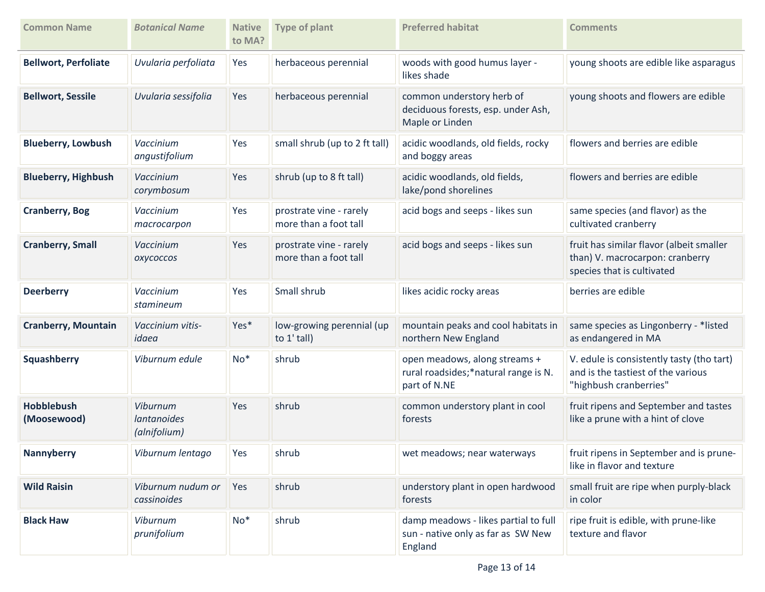| <b>Common Name</b>               | <b>Botanical Name</b>                                 | <b>Native</b><br>to MA? | <b>Type of plant</b>                             | <b>Preferred habitat</b>                                                              | <b>Comments</b>                                                                                           |
|----------------------------------|-------------------------------------------------------|-------------------------|--------------------------------------------------|---------------------------------------------------------------------------------------|-----------------------------------------------------------------------------------------------------------|
| <b>Bellwort, Perfoliate</b>      | Uvularia perfoliata                                   | Yes                     | herbaceous perennial                             | woods with good humus layer -<br>likes shade                                          | young shoots are edible like asparagus                                                                    |
| <b>Bellwort, Sessile</b>         | Uvularia sessifolia                                   | Yes                     | herbaceous perennial                             | common understory herb of<br>deciduous forests, esp. under Ash,<br>Maple or Linden    | young shoots and flowers are edible                                                                       |
| <b>Blueberry, Lowbush</b>        | Vaccinium<br>angustifolium                            | Yes                     | small shrub (up to 2 ft tall)                    | acidic woodlands, old fields, rocky<br>and boggy areas                                | flowers and berries are edible                                                                            |
| <b>Blueberry, Highbush</b>       | Vaccinium<br>corymbosum                               | Yes                     | shrub (up to 8 ft tall)                          | acidic woodlands, old fields,<br>lake/pond shorelines                                 | flowers and berries are edible                                                                            |
| <b>Cranberry, Bog</b>            | Vaccinium<br>macrocarpon                              | Yes                     | prostrate vine - rarely<br>more than a foot tall | acid bogs and seeps - likes sun                                                       | same species (and flavor) as the<br>cultivated cranberry                                                  |
| <b>Cranberry, Small</b>          | Vaccinium<br><b>OXYCOCCOS</b>                         | Yes                     | prostrate vine - rarely<br>more than a foot tall | acid bogs and seeps - likes sun                                                       | fruit has similar flavor (albeit smaller<br>than) V. macrocarpon: cranberry<br>species that is cultivated |
| <b>Deerberry</b>                 | Vaccinium<br>stamineum                                | Yes                     | Small shrub                                      | likes acidic rocky areas                                                              | berries are edible                                                                                        |
| <b>Cranberry, Mountain</b>       | Vaccinium vitis-<br>idaea                             | Yes*                    | low-growing perennial (up<br>to $1'$ tall)       | mountain peaks and cool habitats in<br>northern New England                           | same species as Lingonberry - *listed<br>as endangered in MA                                              |
| Squashberry                      | Viburnum edule                                        | $No*$                   | shrub                                            | open meadows, along streams +<br>rural roadsides;*natural range is N.<br>part of N.NE | V. edule is consistently tasty (tho tart)<br>and is the tastiest of the various<br>"highbush cranberries" |
| <b>Hobblebush</b><br>(Moosewood) | <b>Viburnum</b><br><i>lantanoides</i><br>(alnifolium) | Yes                     | shrub                                            | common understory plant in cool<br>forests                                            | fruit ripens and September and tastes<br>like a prune with a hint of clove                                |
| <b>Nannyberry</b>                | Viburnum lentago                                      | Yes                     | shrub                                            | wet meadows; near waterways                                                           | fruit ripens in September and is prune-<br>like in flavor and texture                                     |
| <b>Wild Raisin</b>               | Viburnum nudum or<br>cassinoides                      | Yes                     | shrub                                            | understory plant in open hardwood<br>forests                                          | small fruit are ripe when purply-black<br>in color                                                        |
| <b>Black Haw</b>                 | Viburnum<br>prunifolium                               | $No*$                   | shrub                                            | damp meadows - likes partial to full<br>sun - native only as far as SW New<br>England | ripe fruit is edible, with prune-like<br>texture and flavor                                               |